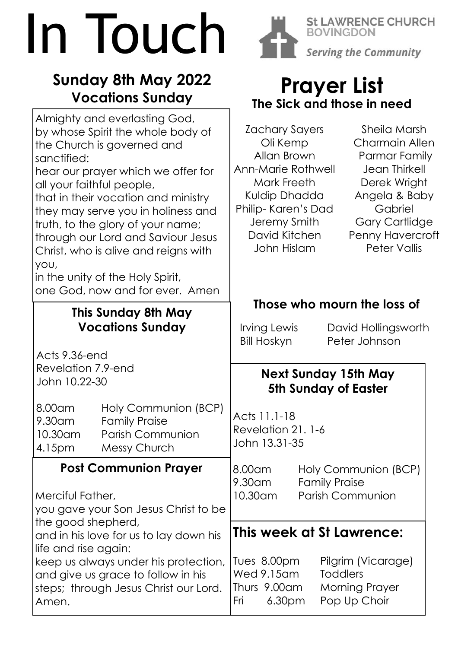# In Touch

### **Sunday 8th May 2022 Vocations Sunday**

| <u>ME JICK UNU MIDJE IN NGCU</u>                                                                                                                                                                                                                                                                                                                                        |
|-------------------------------------------------------------------------------------------------------------------------------------------------------------------------------------------------------------------------------------------------------------------------------------------------------------------------------------------------------------------------|
| <b>Zachary Sayers</b><br>Sheila Marsh<br>Charmain Allen<br>Oli Kemp<br>Allan Brown<br>Parmar Family<br>Jean Thirkell<br>Ann-Marie Rothwell<br>Mark Freeth<br>Derek Wright<br>Kuldip Dhadda<br>Angela & Baby<br>Gabriel<br>Philip-Karen's Dad<br>Jeremy Smith<br><b>Gary Cartlidge</b><br>David Kitchen<br><b>Penny Havercroft</b><br>John Hislam<br><b>Peter Vallis</b> |
|                                                                                                                                                                                                                                                                                                                                                                         |
| Those who mourn the loss of                                                                                                                                                                                                                                                                                                                                             |
| Irving Lewis<br>David Hollingsworth<br><b>Bill Hoskyn</b><br>Peter Johnson                                                                                                                                                                                                                                                                                              |
|                                                                                                                                                                                                                                                                                                                                                                         |
| <b>Next Sunday 15th May</b><br><b>5th Sunday of Easter</b>                                                                                                                                                                                                                                                                                                              |
| Acts 11.1-18<br>Revelation 21.1-6<br>John 13.31-35                                                                                                                                                                                                                                                                                                                      |
| Holy Communion (BCP)<br>8.00am                                                                                                                                                                                                                                                                                                                                          |
| <b>Family Praise</b><br>9.30am<br>10.30am<br><b>Parish Communion</b>                                                                                                                                                                                                                                                                                                    |
| This week at St Lawrence:                                                                                                                                                                                                                                                                                                                                               |
|                                                                                                                                                                                                                                                                                                                                                                         |
| Pilgrim (Vicarage)<br>Tues 8.00pm<br>Wed 9.15am<br><b>Toddlers</b><br>Thurs 9.00am<br><b>Morning Prayer</b><br>Pop Up Choir<br>6.30 <sub>pm</sub><br>Fri                                                                                                                                                                                                                |
|                                                                                                                                                                                                                                                                                                                                                                         |



**St LAWRENCE CHURCH BOVINGDON** Serving the Community

## **Prayer List The Sick and those in need**